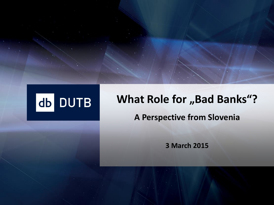

# **What Role for "Bad Banks"? A Perspective from Slovenia**

**3 March 2015**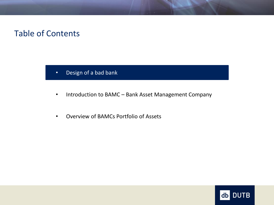#### Table of Contents

- Design of a bad bank
- Introduction to BAMC Bank Asset Management Company
- Overview of BAMCs Portfolio of Assets

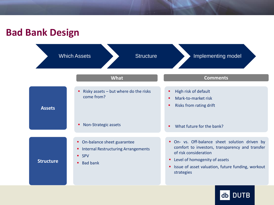# **Bad Bank Design**



db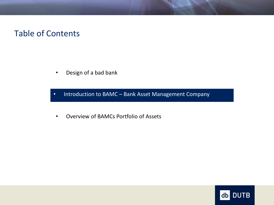#### Table of Contents

• Design of a bad bank

• Introduction to BAMC – Bank Asset Management Company • Introduction to BAMC – Bank Asset Management Company

• Overview of BAMCs Portfolio of Assets

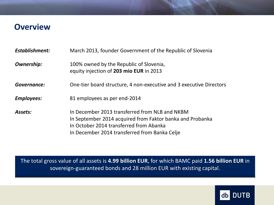#### **Overview**

| <b>Establishment:</b> | March 2013, founder Government of the Republic of Slovenia                                                                                                                                              |
|-----------------------|---------------------------------------------------------------------------------------------------------------------------------------------------------------------------------------------------------|
| <b>Ownership:</b>     | 100% owned by the Republic of Slovenia,<br>equity injection of 203 mio EUR in 2013                                                                                                                      |
| Governance:           | One-tier board structure, 4 non-executive and 3 executive Directors                                                                                                                                     |
| <b>Employees:</b>     | 81 employees as per end-2014                                                                                                                                                                            |
| <b>Assets:</b>        | In December 2013 transferred from NLB and NKBM<br>In September 2014 acquired from Faktor banka and Probanka<br>In October 2014 transferred from Abanka<br>In December 2014 transferred from Banka Celje |

The total gross value of all assets is **4.99 billion EUR**, for which BAMC paid **1.56 billion EUR** in sovereign-guaranteed bonds and 28 million EUR with existing capital.

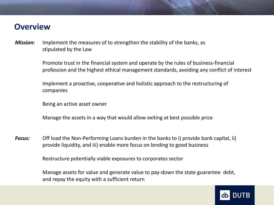#### **Overview**

*Mission:* Implement the measures of to strengthen the stability of the banks, as stipulated by the Law

> Promote trust in the financial system and operate by the rules of business-financial profession and the highest ethical management standards, avoiding any conflict of interest

Implement a proactive, cooperative and holistic approach to the restructuring of companies

Being an active asset owner

Manage the assets in a way that would allow exiting at best possible price

*Focus:* Off load the Non-Performing Loans burden in the banks to i) provide bank capital, ii) provide liquidity, and iii) enable more focus on lending to good business

Restructure potentially viable exposures to corporates sector

Manage assets for value and generate value to pay-down the state guarantee debt, and repay the equity with a sufficient return

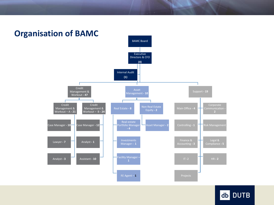

#### **Organisation of BAMC**

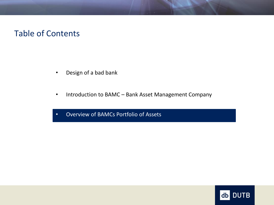#### Table of Contents

- Design of a bad bank
- Introduction to BAMC Bank Asset Management Company
- Overview of BAMCs Portfolio of Assets

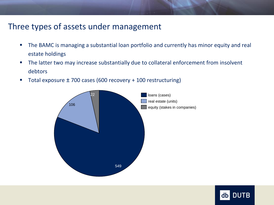## Three types of assets under management

- **The BAMC** is managing a substantial loan portfolio and currently has minor equity and real estate holdings
- The latter two may increase substantially due to collateral enforcement from insolvent debtors
- Total exposure ± 700 cases (600 recovery + 100 restructuring)



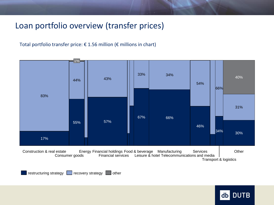# Loan portfolio overview (transfer prices)

#### Total portfolio transfer price: € 1.56 million ( $€$  millions in chart)



restructuring strategy  $\Box$  recovery strategy  $\Box$  other

**DUTB** db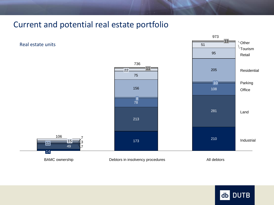### Current and potential real estate portfolio

Real estate units





 $13 =$ 

973